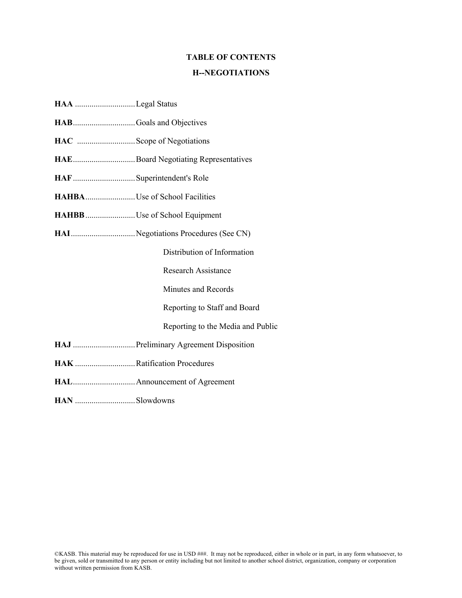### **TABLE OF CONTENTS**

#### **H--NEGOTIATIONS**

- **HAA** .............................Legal Status
- **HAB**..............................Goals and Objectives
- **HAC** ............................Scope of Negotiations
- **HAE**..............................Board Negotiating Representatives
- **HAF**..............................Superintendent's Role
- **HAHBA**........................Use of School Facilities
- **HAHBB**........................Use of School Equipment
- **HAI**...............................Negotiations Procedures (See CN)

Distribution of Information

Research Assistance

Minutes and Records

Reporting to Staff and Board

#### Reporting to the Media and Public

- **HAJ** ..............................Preliminary Agreement Disposition
- **HAK** .............................Ratification Procedures
- **HAL**..............................Announcement of Agreement
- **HAN** .............................Slowdowns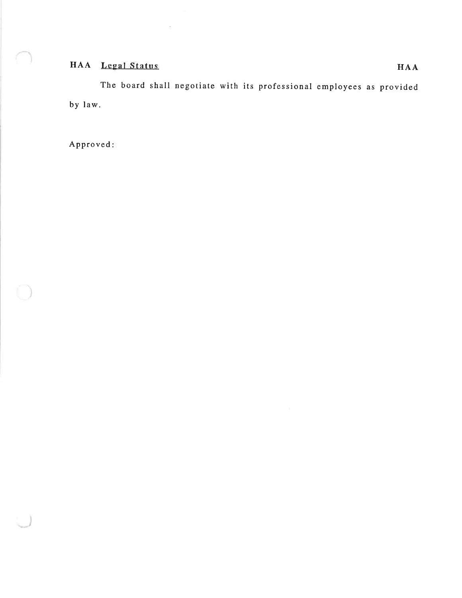# HAA Legal Status

 $\lesssim$ 

The board shall negotiate with its professional employees as provided by law.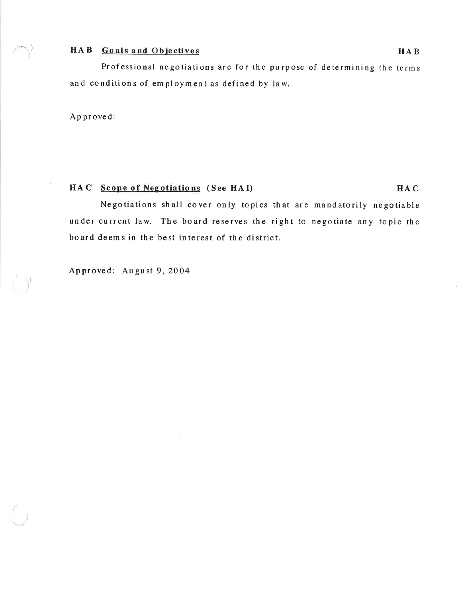# HAB Goals and Objectives

Professional negotiations are for the purpose of determining the terms and conditions of employment as defined by law.

Approved:

# HAC Scope of Negotiations (See HAI)

Negotiations shall cover only topics that are mandatorily negotiable under current law. The board reserves the right to negotiate any topic the board deems in the best interest of the district.

Approved: August 9, 2004

HAC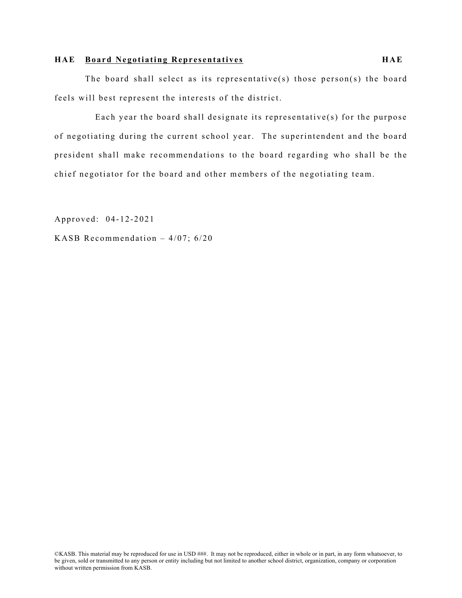#### **HAE Board Negotiating Representatives HAE**

The board shall select as its representative(s) those person(s) the board feels will best represent the interests of the district.

Each year the board shall designate its representative(s) for the purpose of negotiating during the current school year. The superintendent and the board president shall make recommendations to the board regarding who shall be the chief negotiator for the board and other members of the negotiating team.

Approved: 04-12-2021

KASB Recommendation – 4/07; 6/20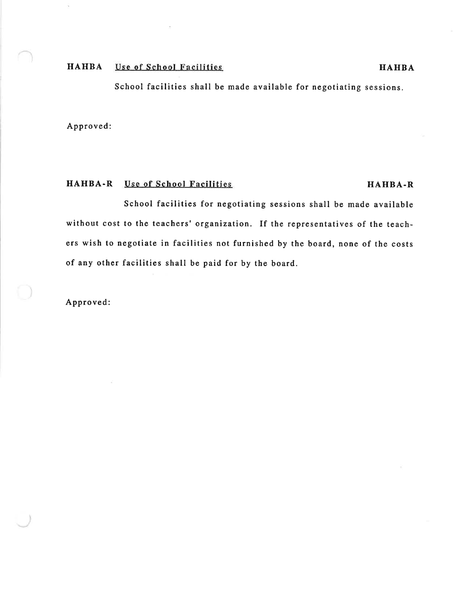#### **HAHBA Use of School Facilities**

School facilities shall be made available for negotiating sessions.

Approved:

## HAHBA-R Use of School Facilities

### HAHBA-R

School facilities for negotiating sessions shall be made available without cost to the teachers' organization. If the representatives of the teachers wish to negotiate in facilities not furnished by the board, none of the costs of any other facilities shall be paid for by the board.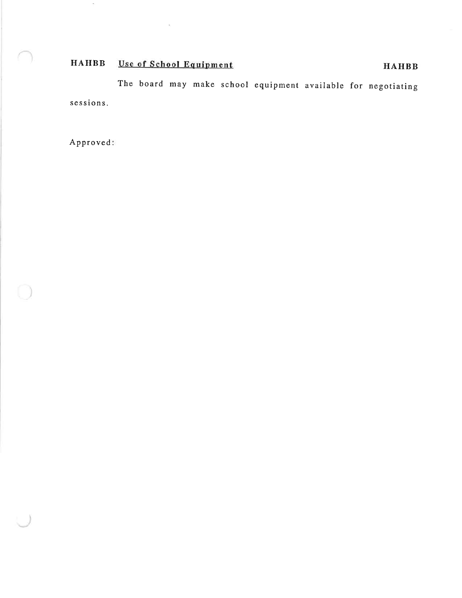#### **HAHBB** Use of School Equipment

 $\sim$ 

The board may make school equipment available for negotiating sessions.

Approved:

 $\bar{\gamma}$ 

# **HAHBB**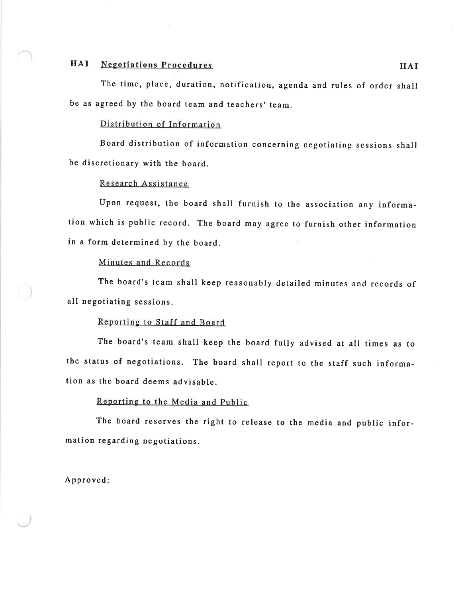#### HAI **Negotiations Procedures**

The time, place, duration, notification, agenda and rules of order shall be as agreed by the board team and teachers' team.

#### Distribution of Information

Board distribution of information concerning negotiating sessions shall be discretionary with the board.

### Research Assistance

Upon request, the board shall furnish to the association any information which is public record. The board may agree to furnish other information in a form determined by the board.

### Minutes and Records

The board's team shall keep reasonably detailed minutes and records of all negotiating sessions.

#### Reporting to Staff and Board

The board's team shall keep the board fully advised at all times as to the status of negotiations. The board shall report to the staff such information as the board deems advisable.

#### Reporting to the Media and Public

The board reserves the right to release to the media and public information regarding negotiations.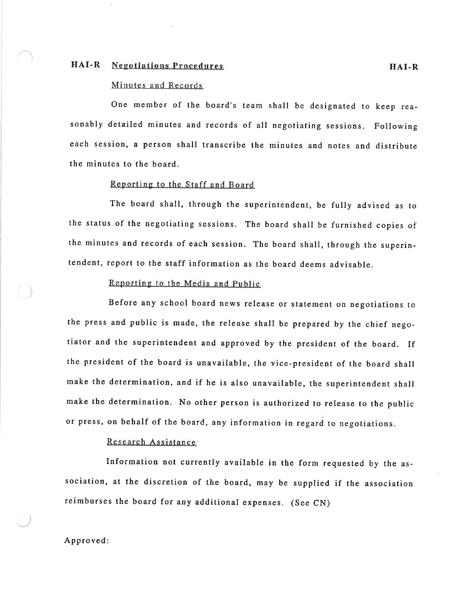#### HAI-R **Negotiations Procedures**

#### Minutes and Records

One member of the board's team shall be designated to keep reasonably detailed minutes and records of all negotiating sessions. Following each session, a person shall transcribe the minutes and notes and distribute the minutes to the hoard.

#### Reporting to the Staff and Board

The board shall, through the superintendent, be fully advised as to the status of the negotiating sessions. The board shall be furnished copies of the minutes and records of each session. The board shall, through the superintendent, report to the staff information as the board deems advisable.

### Reporting to the Media and Public

Before any school board news release or statement on negotiations to the press and public is made, the release shall be prepared by the chief negotiator and the superintendent and approved by the president of the board. If the president of the board is unavailable, the vice-president of the board shall make the determination, and if he is also unavailable, the superintendent shall make the determination. No other person is authorized to release to the public or press, on behalf of the board, any information in regard to negotiations.

#### Research Assistance

Information not currently available in the form requested by the association, at the discretion of the board, may be supplied if the association reimburses the board for any additional expenses. (See CN)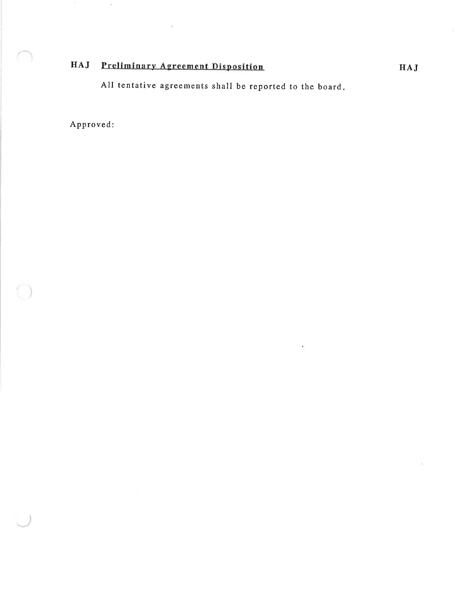# HAJ Preliminary Agreement Disposition

 $\overline{\mathbf{E}}$ 

All tentative agreements shall be reported to the board.

×,

Approved:

 $\hat{\mathbf{e}}_i$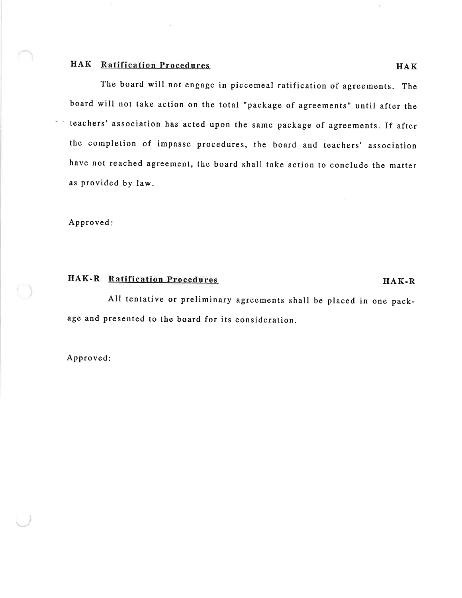### **HAK** Ratification Procedures

The board will not engage in piecemeal ratification of agreements. The board will not take action on the total "package of agreements" until after the teachers' association has acted upon the same package of agreements. If after the completion of impasse procedures, the board and teachers' association have not reached agreement, the board shall take action to conclude the matter as provided by law.

Approved:

# HAK-R Ratification Procedures

HAK-R

All tentative or preliminary agreements shall be placed in one package and presented to the board for its consideration.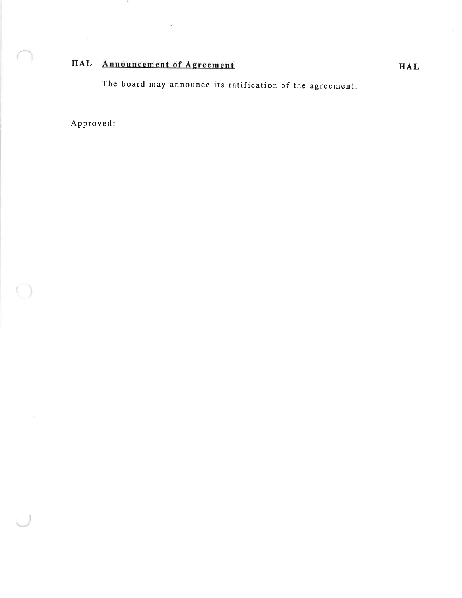# HAL Announcement of Agreement

 $\mathcal{G}^{\mathcal{G}}$ 

95

The board may announce its ratification of the agreement.

Approved:

 $\frac{1}{2}$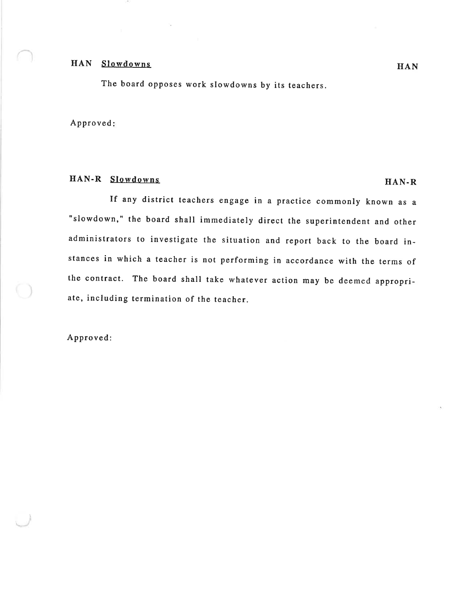# HAN Slowdowns

The board opposes work slowdowns by its teachers.

 $\sim$ 

Approved:

# HAN-R Slowdowns

If any district teachers engage in a practice commonly known as a "slowdown," the board shall immediately direct the superintendent and other administrators to investigate the situation and report back to the board instances in which a teacher is not performing in accordance with the terms of the contract. The board shall take whatever action may be deemed appropriate, including termination of the teacher.

Approved:

 $HAN-R$